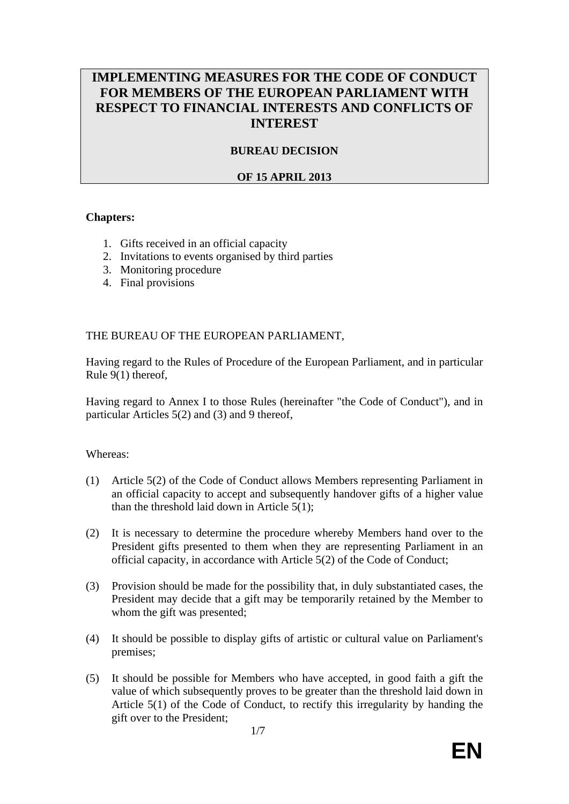# **IMPLEMENTING MEASURES FOR THE CODE OF CONDUCT FOR MEMBERS OF THE EUROPEAN PARLIAMENT WITH RESPECT TO FINANCIAL INTERESTS AND CONFLICTS OF INTEREST**

# **BUREAU DECISION**

## **OF 15 APRIL 2013**

### **Chapters:**

- 1. Gifts received in an official capacity
- 2. Invitations to events organised by third parties
- 3. Monitoring procedure
- 4. Final provisions

### THE BUREAU OF THE EUROPEAN PARLIAMENT,

Having regard to the Rules of Procedure of the European Parliament, and in particular Rule  $9(1)$  thereof,

Having regard to Annex I to those Rules (hereinafter "the Code of Conduct"), and in particular Articles 5(2) and (3) and 9 thereof,

#### Whereas:

- (1) Article 5(2) of the Code of Conduct allows Members representing Parliament in an official capacity to accept and subsequently handover gifts of a higher value than the threshold laid down in Article 5(1);
- (2) It is necessary to determine the procedure whereby Members hand over to the President gifts presented to them when they are representing Parliament in an official capacity, in accordance with Article 5(2) of the Code of Conduct;
- (3) Provision should be made for the possibility that, in duly substantiated cases, the President may decide that a gift may be temporarily retained by the Member to whom the gift was presented:
- (4) It should be possible to display gifts of artistic or cultural value on Parliament's premises;
- (5) It should be possible for Members who have accepted, in good faith a gift the value of which subsequently proves to be greater than the threshold laid down in Article 5(1) of the Code of Conduct, to rectify this irregularity by handing the gift over to the President;

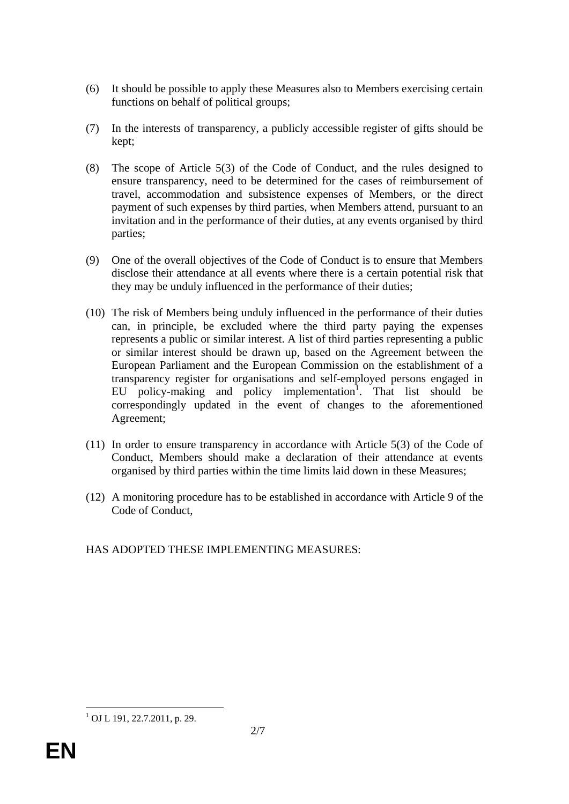- (6) It should be possible to apply these Measures also to Members exercising certain functions on behalf of political groups;
- (7) In the interests of transparency, a publicly accessible register of gifts should be kept;
- (8) The scope of Article 5(3) of the Code of Conduct, and the rules designed to ensure transparency, need to be determined for the cases of reimbursement of travel, accommodation and subsistence expenses of Members, or the direct payment of such expenses by third parties, when Members attend, pursuant to an invitation and in the performance of their duties, at any events organised by third parties;
- (9) One of the overall objectives of the Code of Conduct is to ensure that Members disclose their attendance at all events where there is a certain potential risk that they may be unduly influenced in the performance of their duties;
- (10) The risk of Members being unduly influenced in the performance of their duties can, in principle, be excluded where the third party paying the expenses represents a public or similar interest. A list of third parties representing a public or similar interest should be drawn up, based on the Agreement between the European Parliament and the European Commission on the establishment of a transparency register for organisations and self-employed persons engaged in EU policy-making and policy implementation<sup>1</sup>. That list should be correspondingly updated in the event of changes to the aforementioned Agreement;
- (11) In order to ensure transparency in accordance with Article 5(3) of the Code of Conduct, Members should make a declaration of their attendance at events organised by third parties within the time limits laid down in these Measures;
- (12) A monitoring procedure has to be established in accordance with Article 9 of the Code of Conduct,
- HAS ADOPTED THESE IMPLEMENTING MEASURES:

 1 OJ L 191, 22.7.2011, p. 29.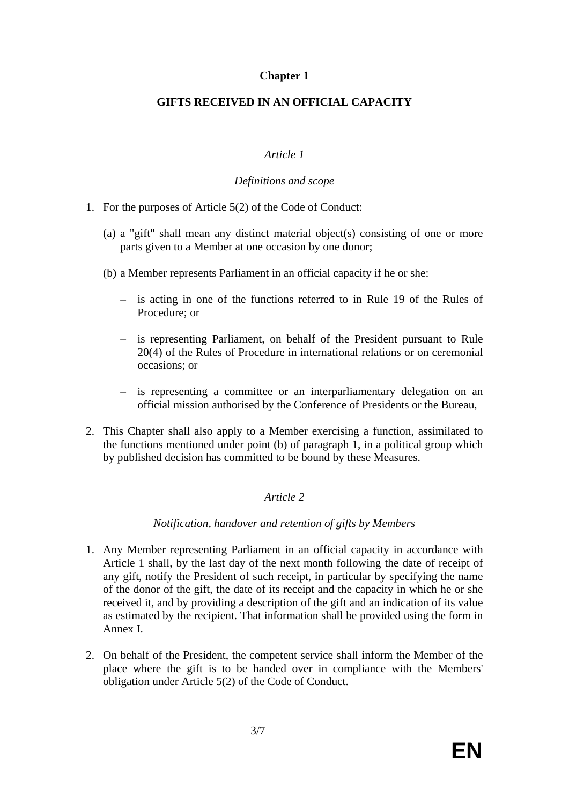## **Chapter 1**

## **GIFTS RECEIVED IN AN OFFICIAL CAPACITY**

## *Article 1*

### *Definitions and scope*

- 1. For the purposes of Article 5(2) of the Code of Conduct:
	- (a) a "gift" shall mean any distinct material object(s) consisting of one or more parts given to a Member at one occasion by one donor;
	- (b) a Member represents Parliament in an official capacity if he or she:
		- is acting in one of the functions referred to in Rule 19 of the Rules of Procedure; or
		- is representing Parliament, on behalf of the President pursuant to Rule 20(4) of the Rules of Procedure in international relations or on ceremonial occasions; or
		- is representing a committee or an interparliamentary delegation on an official mission authorised by the Conference of Presidents or the Bureau,
- 2. This Chapter shall also apply to a Member exercising a function, assimilated to the functions mentioned under point (b) of paragraph 1, in a political group which by published decision has committed to be bound by these Measures.

# *Article 2*

## *Notification, handover and retention of gifts by Members*

- 1. Any Member representing Parliament in an official capacity in accordance with Article 1 shall, by the last day of the next month following the date of receipt of any gift, notify the President of such receipt, in particular by specifying the name of the donor of the gift, the date of its receipt and the capacity in which he or she received it, and by providing a description of the gift and an indication of its value as estimated by the recipient. That information shall be provided using the form in Annex I.
- 2. On behalf of the President, the competent service shall inform the Member of the place where the gift is to be handed over in compliance with the Members' obligation under Article 5(2) of the Code of Conduct.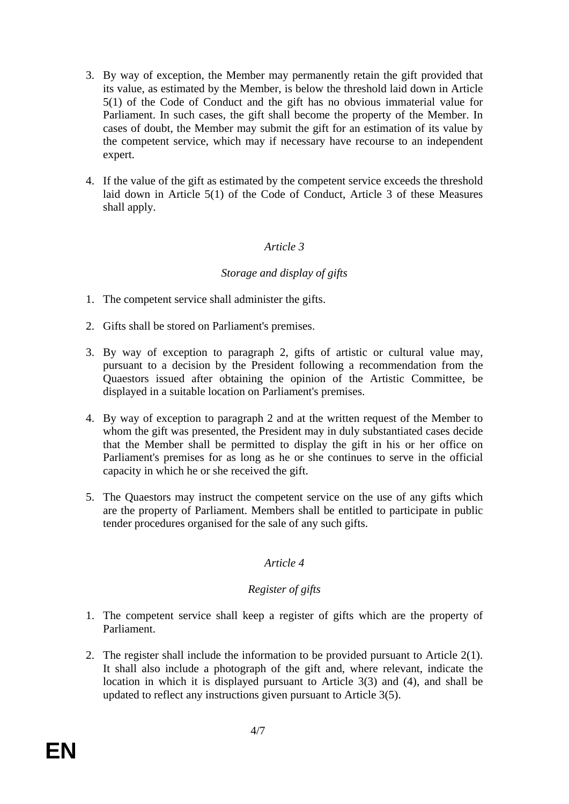- 3. By way of exception, the Member may permanently retain the gift provided that its value, as estimated by the Member, is below the threshold laid down in Article 5(1) of the Code of Conduct and the gift has no obvious immaterial value for Parliament. In such cases, the gift shall become the property of the Member. In cases of doubt, the Member may submit the gift for an estimation of its value by the competent service, which may if necessary have recourse to an independent expert.
- 4. If the value of the gift as estimated by the competent service exceeds the threshold laid down in Article 5(1) of the Code of Conduct, Article 3 of these Measures shall apply.

# *Article 3*

# *Storage and display of gifts*

- 1. The competent service shall administer the gifts.
- 2. Gifts shall be stored on Parliament's premises.
- 3. By way of exception to paragraph 2, gifts of artistic or cultural value may, pursuant to a decision by the President following a recommendation from the Quaestors issued after obtaining the opinion of the Artistic Committee, be displayed in a suitable location on Parliament's premises.
- 4. By way of exception to paragraph 2 and at the written request of the Member to whom the gift was presented, the President may in duly substantiated cases decide that the Member shall be permitted to display the gift in his or her office on Parliament's premises for as long as he or she continues to serve in the official capacity in which he or she received the gift.
- 5. The Quaestors may instruct the competent service on the use of any gifts which are the property of Parliament. Members shall be entitled to participate in public tender procedures organised for the sale of any such gifts.

## *Article 4*

# *Register of gifts*

- 1. The competent service shall keep a register of gifts which are the property of Parliament.
- 2. The register shall include the information to be provided pursuant to Article 2(1). It shall also include a photograph of the gift and, where relevant, indicate the location in which it is displayed pursuant to Article 3(3) and (4), and shall be updated to reflect any instructions given pursuant to Article 3(5).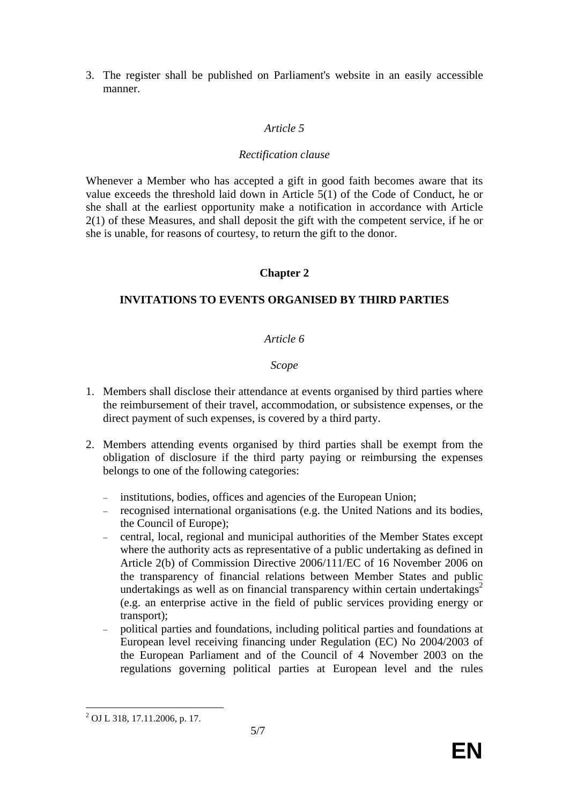3. The register shall be published on Parliament's website in an easily accessible manner.

## *Article 5*

#### *Rectification clause*

Whenever a Member who has accepted a gift in good faith becomes aware that its value exceeds the threshold laid down in Article 5(1) of the Code of Conduct, he or she shall at the earliest opportunity make a notification in accordance with Article 2(1) of these Measures, and shall deposit the gift with the competent service, if he or she is unable, for reasons of courtesy, to return the gift to the donor.

# **Chapter 2**

# **INVITATIONS TO EVENTS ORGANISED BY THIRD PARTIES**

## *Article 6*

### *Scope*

- 1. Members shall disclose their attendance at events organised by third parties where the reimbursement of their travel, accommodation, or subsistence expenses, or the direct payment of such expenses, is covered by a third party.
- 2. Members attending events organised by third parties shall be exempt from the obligation of disclosure if the third party paying or reimbursing the expenses belongs to one of the following categories:
	- institutions, bodies, offices and agencies of the European Union;
	- recognised international organisations (e.g. the United Nations and its bodies, the Council of Europe);
	- central, local, regional and municipal authorities of the Member States except where the authority acts as representative of a public undertaking as defined in Article 2(b) of Commission Directive 2006/111/EC of 16 November 2006 on the transparency of financial relations between Member States and public undertakings as well as on financial transparency within certain undertakings<sup>2</sup> (e.g. an enterprise active in the field of public services providing energy or transport);
	- political parties and foundations, including political parties and foundations at European level receiving financing under Regulation (EC) No 2004/2003 of the European Parliament and of the Council of 4 November 2003 on the regulations governing political parties at European level and the rules

 $\overline{a}$ <sup>2</sup> OJ L 318, 17.11.2006, p. 17.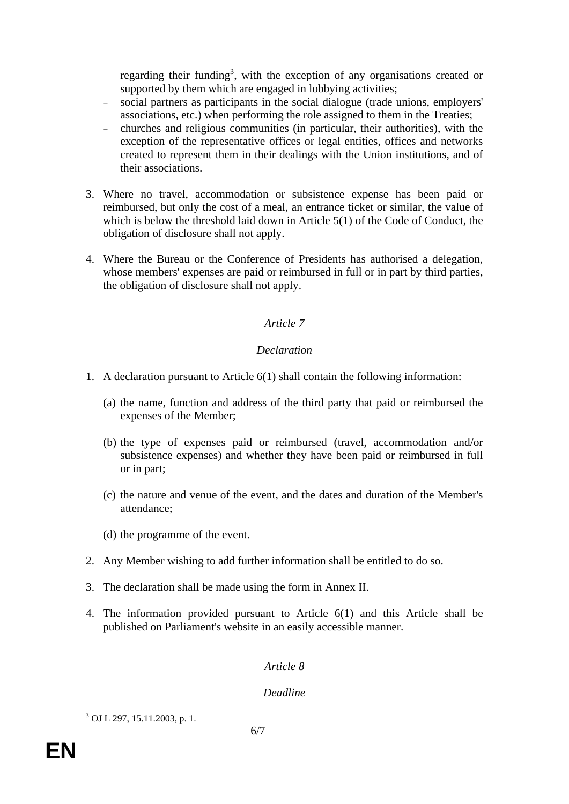regarding their funding<sup>3</sup>, with the exception of any organisations created or supported by them which are engaged in lobbying activities;

- social partners as participants in the social dialogue (trade unions, employers' associations, etc.) when performing the role assigned to them in the Treaties;
- churches and religious communities (in particular, their authorities), with the exception of the representative offices or legal entities, offices and networks created to represent them in their dealings with the Union institutions, and of their associations.
- 3. Where no travel, accommodation or subsistence expense has been paid or reimbursed, but only the cost of a meal, an entrance ticket or similar, the value of which is below the threshold laid down in Article 5(1) of the Code of Conduct, the obligation of disclosure shall not apply.
- 4. Where the Bureau or the Conference of Presidents has authorised a delegation, whose members' expenses are paid or reimbursed in full or in part by third parties, the obligation of disclosure shall not apply.

# *Article 7*

# *Declaration*

- 1. A declaration pursuant to Article 6(1) shall contain the following information:
	- (a) the name, function and address of the third party that paid or reimbursed the expenses of the Member;
	- (b) the type of expenses paid or reimbursed (travel, accommodation and/or subsistence expenses) and whether they have been paid or reimbursed in full or in part;
	- (c) the nature and venue of the event, and the dates and duration of the Member's attendance;
	- (d) the programme of the event.
- 2. Any Member wishing to add further information shall be entitled to do so.
- 3. The declaration shall be made using the form in Annex II.
- 4. The information provided pursuant to Article 6(1) and this Article shall be published on Parliament's website in an easily accessible manner.

# *Article 8*

# *Deadline*

 $\overline{a}$ 3 OJ L 297, 15.11.2003, p. 1.